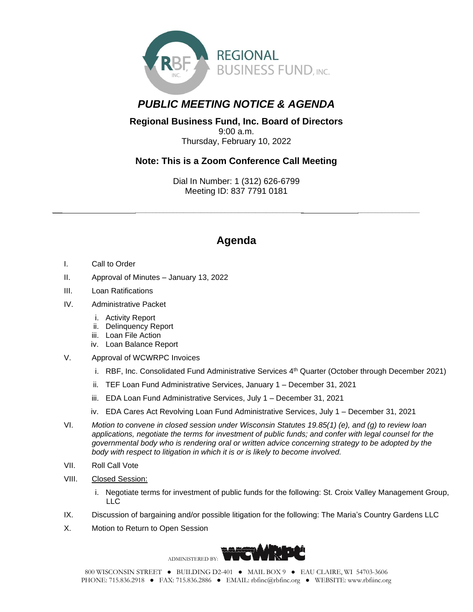

## *PUBLIC MEETING NOTICE & AGENDA*

## **Regional Business Fund, Inc. Board of Directors** 9:00 a.m. Thursday, February 10, 2022

## **Note: This is a Zoom Conference Call Meeting**

Dial In Number: 1 (312) 626-6799 Meeting ID: 837 7791 0181

*\_\_\_ \_\_\_\_\_\_\_\_\_\_\_\_\_\_\_\_\_\_\_\_\_\_\_\_\_\_\_\_\_\_\_\_\_\_\_\_\_\_\_\_\_\_\_\_\_\_\_\_\_ \_\_\_\_\_\_\_\_\_\_\_\_\_\_\_\_\_\_*

## **Agenda**

- I. Call to Order
- II. Approval of Minutes January 13, 2022
- III. Loan Ratifications
- IV. Administrative Packet
	- i. Activity Report
	- ii. Delinquency Report
	- iii. Loan File Action
	- iv. Loan Balance Report
- V. Approval of WCWRPC Invoices
	- i. RBF, Inc. Consolidated Fund Administrative Services 4<sup>th</sup> Quarter (October through December 2021)
	- ii. TEF Loan Fund Administrative Services, January 1 December 31, 2021
	- iii. EDA Loan Fund Administrative Services, July 1 December 31, 2021
	- iv. EDA Cares Act Revolving Loan Fund Administrative Services, July 1 December 31, 2021
- VI. *Motion to convene in closed session under Wisconsin Statutes 19.85(1) (e), and (g) to review loan applications, negotiate the terms for investment of public funds; and confer with legal counsel for the governmental body who is rendering oral or written advice concerning strategy to be adopted by the body with respect to litigation in which it is or is likely to become involved.*
- VII. Roll Call Vote
- VIII. Closed Session:
	- i. Negotiate terms for investment of public funds for the following: St. Croix Valley Management Group, LLC
- IX. Discussion of bargaining and/or possible litigation for the following: The Maria's Country Gardens LLC
- X. Motion to Return to Open Session